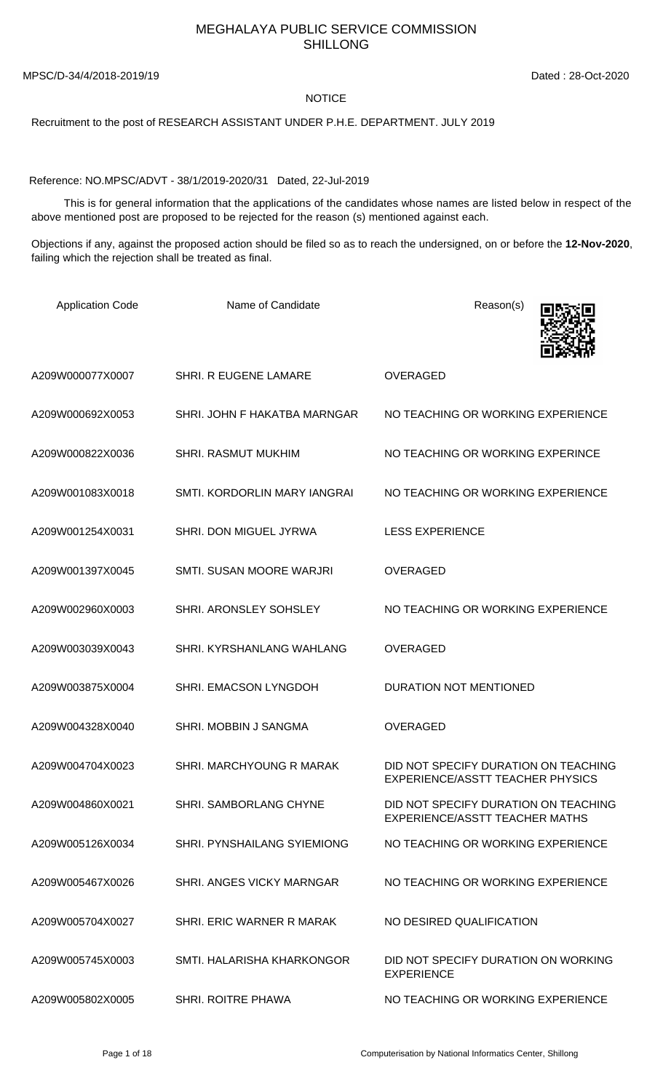## MEGHALAYA PUBLIC SERVICE COMMISSION SHILLONG

MPSC/D-34/4/2018-2019/19 Dated : 28-Oct-2020

## NOTICE

Recruitment to the post of RESEARCH ASSISTANT UNDER P.H.E. DEPARTMENT. JULY 2019

Reference: NO.MPSC/ADVT - 38/1/2019-2020/31 Dated, 22-Jul-2019

 This is for general information that the applications of the candidates whose names are listed below in respect of the above mentioned post are proposed to be rejected for the reason (s) mentioned against each.

Objections if any, against the proposed action should be filed so as to reach the undersigned, on or before the **12-Nov-2020**, failing which the rejection shall be treated as final.

| <b>Application Code</b> | Name of Candidate            | Reason(s)                                                                     |
|-------------------------|------------------------------|-------------------------------------------------------------------------------|
| A209W000077X0007        | SHRI. R EUGENE LAMARE        | <b>OVERAGED</b>                                                               |
| A209W000692X0053        | SHRI. JOHN F HAKATBA MARNGAR | NO TEACHING OR WORKING EXPERIENCE                                             |
| A209W000822X0036        | <b>SHRI. RASMUT MUKHIM</b>   | NO TEACHING OR WORKING EXPERINCE                                              |
| A209W001083X0018        | SMTI. KORDORLIN MARY IANGRAI | NO TEACHING OR WORKING EXPERIENCE                                             |
| A209W001254X0031        | SHRI. DON MIGUEL JYRWA       | <b>LESS EXPERIENCE</b>                                                        |
| A209W001397X0045        | SMTI. SUSAN MOORE WARJRI     | <b>OVERAGED</b>                                                               |
| A209W002960X0003        | SHRI. ARONSLEY SOHSLEY       | NO TEACHING OR WORKING EXPERIENCE                                             |
| A209W003039X0043        | SHRI. KYRSHANLANG WAHLANG    | <b>OVERAGED</b>                                                               |
| A209W003875X0004        | SHRI. EMACSON LYNGDOH        | <b>DURATION NOT MENTIONED</b>                                                 |
| A209W004328X0040        | SHRI. MOBBIN J SANGMA        | <b>OVERAGED</b>                                                               |
| A209W004704X0023        | SHRI. MARCHYOUNG R MARAK     | DID NOT SPECIFY DURATION ON TEACHING<br>EXPERIENCE/ASSTT TEACHER PHYSICS      |
| A209W004860X0021        | SHRI, SAMBORLANG CHYNE       | DID NOT SPECIFY DURATION ON TEACHING<br><b>EXPERIENCE/ASSTT TEACHER MATHS</b> |
| A209W005126X0034        | SHRI. PYNSHAILANG SYIEMIONG  | NO TEACHING OR WORKING EXPERIENCE                                             |
| A209W005467X0026        | SHRI. ANGES VICKY MARNGAR    | NO TEACHING OR WORKING EXPERIENCE                                             |
| A209W005704X0027        | SHRI. ERIC WARNER R MARAK    | NO DESIRED QUALIFICATION                                                      |
| A209W005745X0003        | SMTI. HALARISHA KHARKONGOR   | DID NOT SPECIFY DURATION ON WORKING<br><b>EXPERIENCE</b>                      |
| A209W005802X0005        | <b>SHRI. ROITRE PHAWA</b>    | NO TEACHING OR WORKING EXPERIENCE                                             |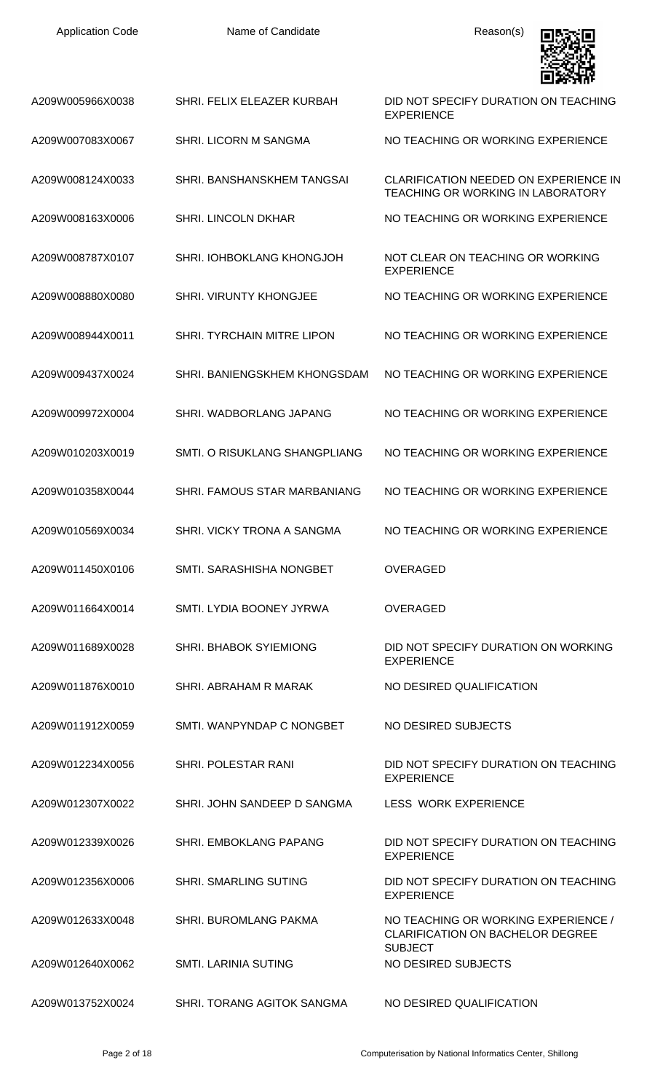| <b>Application Code</b> | Name of Candidate             | Reason(s)                                                                                        |
|-------------------------|-------------------------------|--------------------------------------------------------------------------------------------------|
| A209W005966X0038        | SHRI. FELIX ELEAZER KURBAH    | DID NOT SPECIFY DURATION ON TEACHING<br><b>EXPERIENCE</b>                                        |
| A209W007083X0067        | <b>SHRI. LICORN M SANGMA</b>  | NO TEACHING OR WORKING EXPERIENCE                                                                |
| A209W008124X0033        | SHRI. BANSHANSKHEM TANGSAI    | <b>CLARIFICATION NEEDED ON EXPERIENCE IN</b><br><b>TEACHING OR WORKING IN LABORATORY</b>         |
| A209W008163X0006        | <b>SHRI. LINCOLN DKHAR</b>    | NO TEACHING OR WORKING EXPERIENCE                                                                |
| A209W008787X0107        | SHRI. IOHBOKLANG KHONGJOH     | NOT CLEAR ON TEACHING OR WORKING<br><b>EXPERIENCE</b>                                            |
| A209W008880X0080        | SHRI. VIRUNTY KHONGJEE        | NO TEACHING OR WORKING EXPERIENCE                                                                |
| A209W008944X0011        | SHRI. TYRCHAIN MITRE LIPON    | NO TEACHING OR WORKING EXPERIENCE                                                                |
| A209W009437X0024        | SHRI. BANIENGSKHEM KHONGSDAM  | NO TEACHING OR WORKING EXPERIENCE                                                                |
| A209W009972X0004        | SHRI. WADBORLANG JAPANG       | NO TEACHING OR WORKING EXPERIENCE                                                                |
| A209W010203X0019        | SMTI. O RISUKLANG SHANGPLIANG | NO TEACHING OR WORKING EXPERIENCE                                                                |
| A209W010358X0044        | SHRI. FAMOUS STAR MARBANIANG  | NO TEACHING OR WORKING EXPERIENCE                                                                |
| A209W010569X0034        | SHRI. VICKY TRONA A SANGMA    | NO TEACHING OR WORKING EXPERIENCE                                                                |
| A209W011450X0106        | SMTI. SARASHISHA NONGBET      | OVERAGED                                                                                         |
| A209W011664X0014        | SMTI. LYDIA BOONEY JYRWA      | <b>OVERAGED</b>                                                                                  |
| A209W011689X0028        | <b>SHRI. BHABOK SYIEMIONG</b> | DID NOT SPECIFY DURATION ON WORKING<br><b>EXPERIENCE</b>                                         |
| A209W011876X0010        | SHRI. ABRAHAM R MARAK         | NO DESIRED QUALIFICATION                                                                         |
| A209W011912X0059        | SMTI, WANPYNDAP C NONGBET     | NO DESIRED SUBJECTS                                                                              |
| A209W012234X0056        | <b>SHRI. POLESTAR RANI</b>    | DID NOT SPECIFY DURATION ON TEACHING<br><b>EXPERIENCE</b>                                        |
| A209W012307X0022        | SHRI. JOHN SANDEEP D SANGMA   | <b>LESS WORK EXPERIENCE</b>                                                                      |
| A209W012339X0026        | <b>SHRI. EMBOKLANG PAPANG</b> | DID NOT SPECIFY DURATION ON TEACHING<br><b>EXPERIENCE</b>                                        |
| A209W012356X0006        | <b>SHRI. SMARLING SUTING</b>  | DID NOT SPECIFY DURATION ON TEACHING<br><b>EXPERIENCE</b>                                        |
| A209W012633X0048        | <b>SHRI. BUROMLANG PAKMA</b>  | NO TEACHING OR WORKING EXPERIENCE /<br><b>CLARIFICATION ON BACHELOR DEGREE</b><br><b>SUBJECT</b> |
| A209W012640X0062        | <b>SMTI. LARINIA SUTING</b>   | NO DESIRED SUBJECTS                                                                              |
| A209W013752X0024        | SHRI. TORANG AGITOK SANGMA    | NO DESIRED QUALIFICATION                                                                         |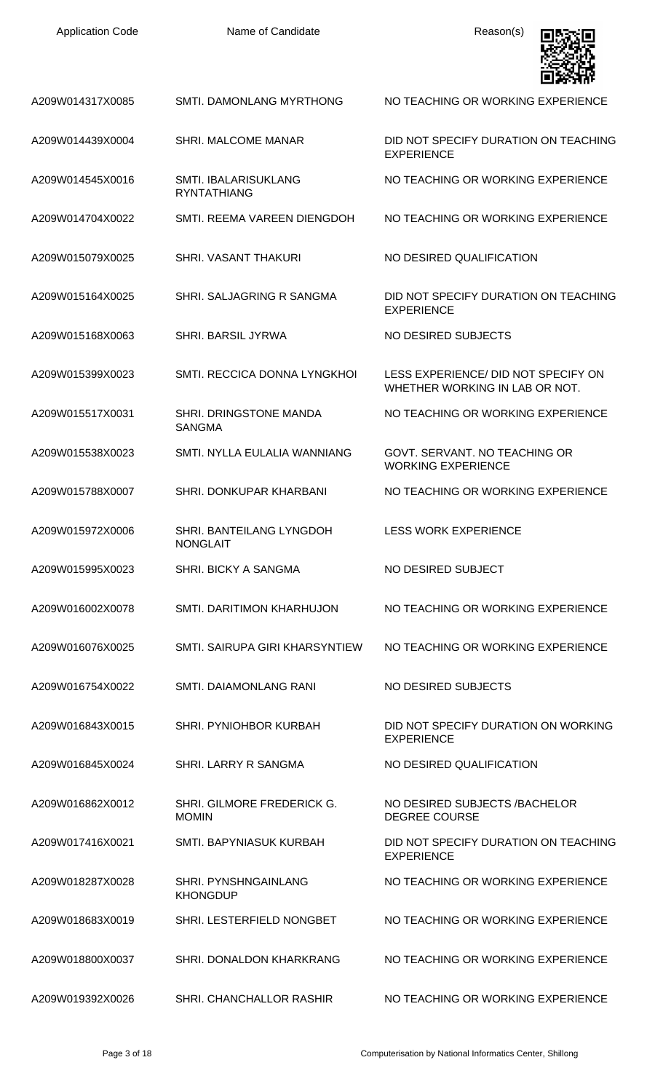| <b>Application Code</b> | Name of Candidate                                 | Reason(s)                                                             |
|-------------------------|---------------------------------------------------|-----------------------------------------------------------------------|
| A209W014317X0085        | SMTI, DAMONLANG MYRTHONG                          | NO TEACHING OR WORKING EXPERIENCE                                     |
| A209W014439X0004        | SHRI. MALCOME MANAR                               | DID NOT SPECIFY DURATION ON TEACHING<br><b>EXPERIENCE</b>             |
| A209W014545X0016        | <b>SMTI. IBALARISUKLANG</b><br><b>RYNTATHIANG</b> | NO TEACHING OR WORKING EXPERIENCE                                     |
| A209W014704X0022        | SMTI. REEMA VAREEN DIENGDOH                       | NO TEACHING OR WORKING EXPERIENCE                                     |
| A209W015079X0025        | <b>SHRI. VASANT THAKURI</b>                       | NO DESIRED QUALIFICATION                                              |
| A209W015164X0025        | SHRI. SALJAGRING R SANGMA                         | DID NOT SPECIFY DURATION ON TEACHING<br><b>EXPERIENCE</b>             |
| A209W015168X0063        | <b>SHRI. BARSIL JYRWA</b>                         | NO DESIRED SUBJECTS                                                   |
| A209W015399X0023        | SMTI. RECCICA DONNA LYNGKHOI                      | LESS EXPERIENCE/ DID NOT SPECIFY ON<br>WHETHER WORKING IN LAB OR NOT. |
| A209W015517X0031        | SHRI. DRINGSTONE MANDA<br><b>SANGMA</b>           | NO TEACHING OR WORKING EXPERIENCE                                     |
| A209W015538X0023        | SMTI. NYLLA EULALIA WANNIANG                      | GOVT. SERVANT. NO TEACHING OR<br><b>WORKING EXPERIENCE</b>            |
| A209W015788X0007        | SHRI. DONKUPAR KHARBANI                           | NO TEACHING OR WORKING EXPERIENCE                                     |
| A209W015972X0006        | SHRI. BANTEILANG LYNGDOH<br><b>NONGLAIT</b>       | <b>LESS WORK EXPERIENCE</b>                                           |
| A209W015995X0023        | SHRI. BICKY A SANGMA                              | NO DESIRED SUBJECT                                                    |
| A209W016002X0078        | SMTI, DARITIMON KHARHUJON                         | NO TEACHING OR WORKING EXPERIENCE                                     |
| A209W016076X0025        | SMTI. SAIRUPA GIRI KHARSYNTIEW                    | NO TEACHING OR WORKING EXPERIENCE                                     |
| A209W016754X0022        | SMTI. DAIAMONLANG RANI                            | NO DESIRED SUBJECTS                                                   |
| A209W016843X0015        | SHRI. PYNIOHBOR KURBAH                            | DID NOT SPECIFY DURATION ON WORKING<br><b>EXPERIENCE</b>              |
| A209W016845X0024        | SHRI. LARRY R SANGMA                              | NO DESIRED QUALIFICATION                                              |
| A209W016862X0012        | SHRI. GILMORE FREDERICK G.<br><b>MOMIN</b>        | NO DESIRED SUBJECTS / BACHELOR<br><b>DEGREE COURSE</b>                |
| A209W017416X0021        | SMTI. BAPYNIASUK KURBAH                           | DID NOT SPECIFY DURATION ON TEACHING<br><b>EXPERIENCE</b>             |
| A209W018287X0028        | <b>SHRI. PYNSHNGAINLANG</b><br><b>KHONGDUP</b>    | NO TEACHING OR WORKING EXPERIENCE                                     |
| A209W018683X0019        | SHRI. LESTERFIELD NONGBET                         | NO TEACHING OR WORKING EXPERIENCE                                     |
| A209W018800X0037        | SHRI, DONALDON KHARKRANG                          | NO TEACHING OR WORKING EXPERIENCE                                     |
| A209W019392X0026        | SHRI. CHANCHALLOR RASHIR                          | NO TEACHING OR WORKING EXPERIENCE                                     |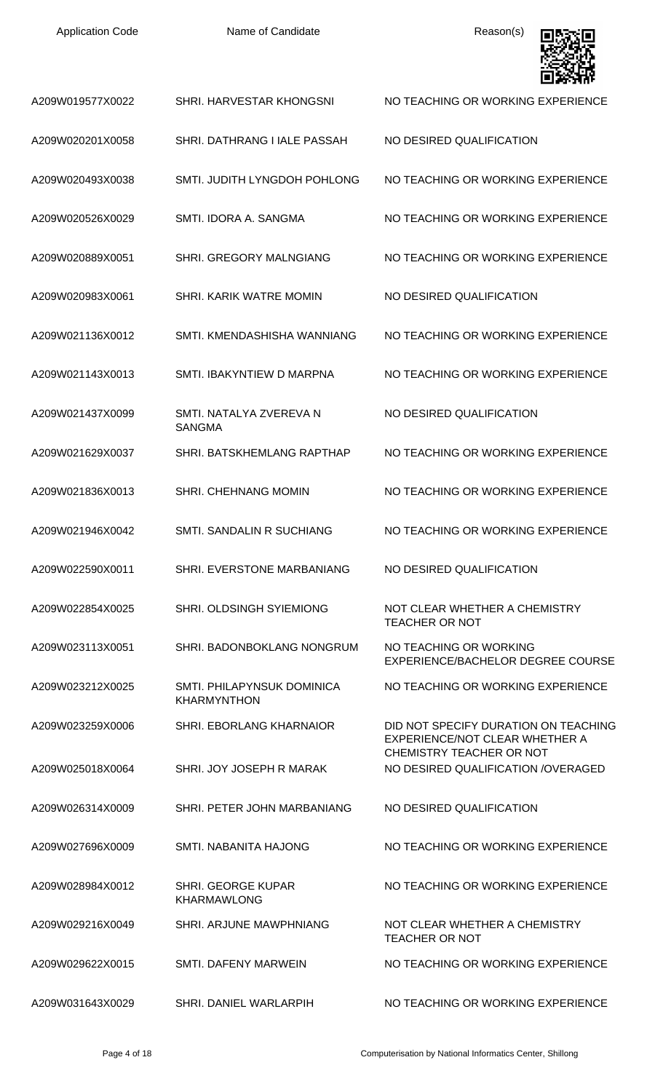| A209W019577X0022 | SHRI. HARVESTAR KHONGSNI                                | NO TEACHING OR WORKING EXPERIENCE                                      |
|------------------|---------------------------------------------------------|------------------------------------------------------------------------|
| A209W020201X0058 | SHRI. DATHRANG I IALE PASSAH                            | NO DESIRED QUALIFICATION                                               |
| A209W020493X0038 | SMTI. JUDITH LYNGDOH POHLONG                            | NO TEACHING OR WORKING EXPERIENCE                                      |
| A209W020526X0029 | SMTI. IDORA A. SANGMA                                   | NO TEACHING OR WORKING EXPERIENCE                                      |
| A209W020889X0051 | SHRI. GREGORY MALNGIANG                                 | NO TEACHING OR WORKING EXPERIENCE                                      |
| A209W020983X0061 | SHRI. KARIK WATRE MOMIN                                 | NO DESIRED QUALIFICATION                                               |
| A209W021136X0012 | SMTI. KMENDASHISHA WANNIANG                             | NO TEACHING OR WORKING EXPERIENCE                                      |
| A209W021143X0013 | SMTI. IBAKYNTIEW D MARPNA                               | NO TEACHING OR WORKING EXPERIENCE                                      |
| A209W021437X0099 | SMTI. NATALYA ZVEREVA N<br><b>SANGMA</b>                | NO DESIRED QUALIFICATION                                               |
| A209W021629X0037 | SHRI. BATSKHEMLANG RAPTHAP                              | NO TEACHING OR WORKING EXPERIENCE                                      |
| A209W021836X0013 | <b>SHRI. CHEHNANG MOMIN</b>                             | NO TEACHING OR WORKING EXPERIENCE                                      |
| A209W021946X0042 | <b>SMTI, SANDALIN R SUCHIANG</b>                        | NO TEACHING OR WORKING EXPERIENCE                                      |
| A209W022590X0011 | SHRI. EVERSTONE MARBANIANG                              | NO DESIRED QUALIFICATION                                               |
| A209W022854X0025 | <b>SHRI. OLDSINGH SYIEMIONG</b>                         | NOT CLEAR WHETHER A CHEMISTRY<br><b>TEACHER OR NOT</b>                 |
| A209W023113X0051 | SHRI. BADONBOKLANG NONGRUM                              | NO TEACHING OR WORKING<br>EXPERIENCE/BACHELOR DEGREE COURSE            |
| A209W023212X0025 | <b>SMTI. PHILAPYNSUK DOMINICA</b><br><b>KHARMYNTHON</b> | NO TEACHING OR WORKING EXPERIENCE                                      |
| A209W023259X0006 | SHRI. EBORLANG KHARNAIOR                                | DID NOT SPECIFY DURATION ON TEACHING<br>EXPERIENCE/NOT CLEAR WHETHER A |
| A209W025018X0064 | SHRI. JOY JOSEPH R MARAK                                | CHEMISTRY TEACHER OR NOT<br>NO DESIRED QUALIFICATION /OVERAGED         |
| A209W026314X0009 | SHRI. PETER JOHN MARBANIANG                             | NO DESIRED QUALIFICATION                                               |
| A209W027696X0009 | SMTI. NABANITA HAJONG                                   | NO TEACHING OR WORKING EXPERIENCE                                      |
| A209W028984X0012 | <b>SHRI. GEORGE KUPAR</b><br><b>KHARMAWLONG</b>         | NO TEACHING OR WORKING EXPERIENCE                                      |
| A209W029216X0049 | SHRI, ARJUNE MAWPHNIANG                                 | NOT CLEAR WHETHER A CHEMISTRY<br><b>TEACHER OR NOT</b>                 |
| A209W029622X0015 | SMTI. DAFENY MARWEIN                                    | NO TEACHING OR WORKING EXPERIENCE                                      |
| A209W031643X0029 | SHRI. DANIEL WARLARPIH                                  | NO TEACHING OR WORKING EXPERIENCE                                      |

▣

 $\blacksquare$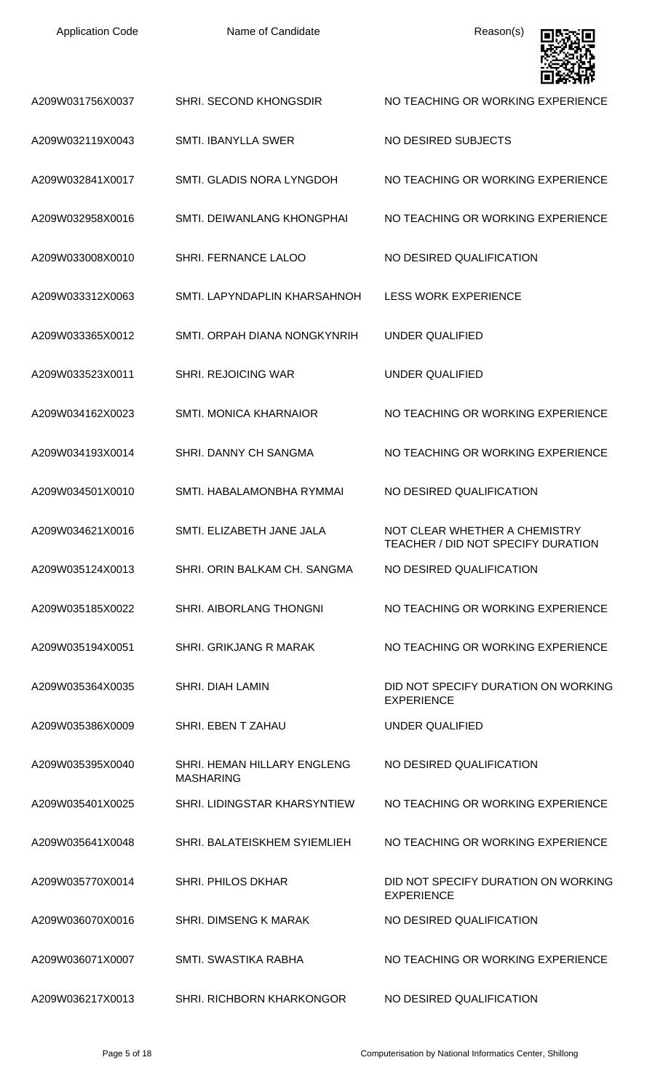Name of Candidate **Reason(s)** 



|                  |                                                        | gerian d                                                            |
|------------------|--------------------------------------------------------|---------------------------------------------------------------------|
| A209W031756X0037 | SHRI. SECOND KHONGSDIR                                 | NO TEACHING OR WORKING EXPERIENCE                                   |
| A209W032119X0043 | <b>SMTI. IBANYLLA SWER</b>                             | NO DESIRED SUBJECTS                                                 |
| A209W032841X0017 | SMTI. GLADIS NORA LYNGDOH                              | NO TEACHING OR WORKING EXPERIENCE                                   |
| A209W032958X0016 | SMTI. DEIWANLANG KHONGPHAI                             | NO TEACHING OR WORKING EXPERIENCE                                   |
| A209W033008X0010 | SHRI. FERNANCE LALOO                                   | NO DESIRED QUALIFICATION                                            |
| A209W033312X0063 | SMTI. LAPYNDAPLIN KHARSAHNOH                           | <b>LESS WORK EXPERIENCE</b>                                         |
| A209W033365X0012 | SMTI, ORPAH DIANA NONGKYNRIH                           | <b>UNDER QUALIFIED</b>                                              |
| A209W033523X0011 | <b>SHRI. REJOICING WAR</b>                             | <b>UNDER QUALIFIED</b>                                              |
| A209W034162X0023 | <b>SMTI. MONICA KHARNAIOR</b>                          | NO TEACHING OR WORKING EXPERIENCE                                   |
| A209W034193X0014 | SHRI. DANNY CH SANGMA                                  | NO TEACHING OR WORKING EXPERIENCE                                   |
| A209W034501X0010 | SMTI. HABALAMONBHA RYMMAI                              | NO DESIRED QUALIFICATION                                            |
| A209W034621X0016 | SMTI. ELIZABETH JANE JALA                              | NOT CLEAR WHETHER A CHEMISTRY<br>TEACHER / DID NOT SPECIFY DURATION |
| A209W035124X0013 | SHRI. ORIN BALKAM CH. SANGMA                           | NO DESIRED QUALIFICATION                                            |
| A209W035185X0022 | <b>SHRI. AIBORLANG THONGNI</b>                         | NO TEACHING OR WORKING EXPERIENCE                                   |
| A209W035194X0051 | <b>SHRI, GRIKJANG R MARAK</b>                          | NO TEACHING OR WORKING EXPERIENCE                                   |
| A209W035364X0035 | <b>SHRI. DIAH LAMIN</b>                                | DID NOT SPECIFY DURATION ON WORKING<br><b>EXPERIENCE</b>            |
| A209W035386X0009 | SHRI. EBEN T ZAHAU                                     | UNDER QUALIFIED                                                     |
| A209W035395X0040 | <b>SHRI. HEMAN HILLARY ENGLENG</b><br><b>MASHARING</b> | NO DESIRED QUALIFICATION                                            |
| A209W035401X0025 | SHRI. LIDINGSTAR KHARSYNTIEW                           | NO TEACHING OR WORKING EXPERIENCE                                   |
| A209W035641X0048 | SHRI. BALATEISKHEM SYIEMLIEH                           | NO TEACHING OR WORKING EXPERIENCE                                   |
| A209W035770X0014 | <b>SHRI. PHILOS DKHAR</b>                              | DID NOT SPECIFY DURATION ON WORKING<br><b>EXPERIENCE</b>            |
| A209W036070X0016 | SHRI. DIMSENG K MARAK                                  | NO DESIRED QUALIFICATION                                            |
| A209W036071X0007 | SMTI. SWASTIKA RABHA                                   | NO TEACHING OR WORKING EXPERIENCE                                   |
| A209W036217X0013 | <b>SHRI. RICHBORN KHARKONGOR</b>                       | NO DESIRED QUALIFICATION                                            |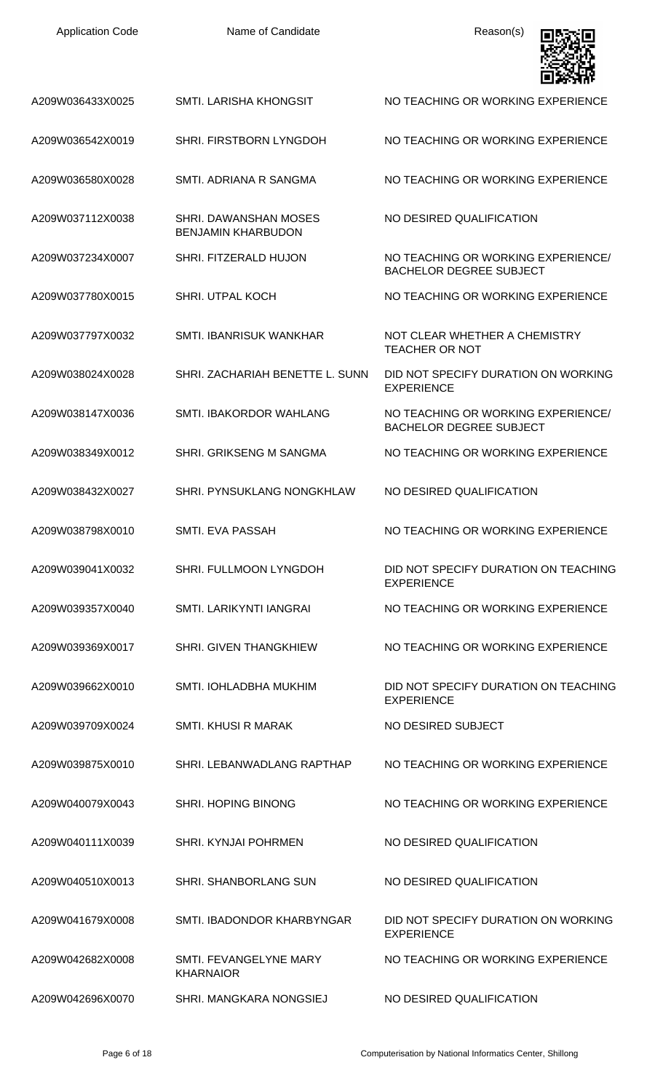| <b>Application Code</b> | Name of Candidate                                  | Reason(s)                                                            |
|-------------------------|----------------------------------------------------|----------------------------------------------------------------------|
| A209W036433X0025        | SMTI. LARISHA KHONGSIT                             | NO TEACHING OR WORKING EXPERIENCE                                    |
| A209W036542X0019        | SHRI. FIRSTBORN LYNGDOH                            | NO TEACHING OR WORKING EXPERIENCE                                    |
| A209W036580X0028        | SMTI. ADRIANA R SANGMA                             | NO TEACHING OR WORKING EXPERIENCE                                    |
| A209W037112X0038        | SHRI. DAWANSHAN MOSES<br><b>BENJAMIN KHARBUDON</b> | NO DESIRED QUALIFICATION                                             |
| A209W037234X0007        | SHRI. FITZERALD HUJON                              | NO TEACHING OR WORKING EXPERIENCE/<br><b>BACHELOR DEGREE SUBJECT</b> |
| A209W037780X0015        | SHRI. UTPAL KOCH                                   | NO TEACHING OR WORKING EXPERIENCE                                    |
| A209W037797X0032        | SMTI. IBANRISUK WANKHAR                            | NOT CLEAR WHETHER A CHEMISTRY<br><b>TEACHER OR NOT</b>               |
| A209W038024X0028        | SHRI. ZACHARIAH BENETTE L. SUNN                    | DID NOT SPECIFY DURATION ON WORKING<br><b>EXPERIENCE</b>             |
| A209W038147X0036        | SMTI. IBAKORDOR WAHLANG                            | NO TEACHING OR WORKING EXPERIENCE/<br><b>BACHELOR DEGREE SUBJECT</b> |
| A209W038349X0012        | <b>SHRI. GRIKSENG M SANGMA</b>                     | NO TEACHING OR WORKING EXPERIENCE                                    |
| A209W038432X0027        | <b>SHRI. PYNSUKLANG NONGKHLAW</b>                  | NO DESIRED QUALIFICATION                                             |
| A209W038798X0010        | SMTI. EVA PASSAH                                   | NO TEACHING OR WORKING EXPERIENCE                                    |
| A209W039041X0032        | SHRI. FULLMOON LYNGDOH                             | DID NOT SPECIFY DURATION ON TEACHING<br><b>EXPERIENCE</b>            |
| A209W039357X0040        | SMTI. LARIKYNTI IANGRAI                            | NO TEACHING OR WORKING EXPERIENCE                                    |
| A209W039369X0017        | <b>SHRI. GIVEN THANGKHIEW</b>                      | NO TEACHING OR WORKING EXPERIENCE                                    |
| A209W039662X0010        | SMTI. IOHLADBHA MUKHIM                             | DID NOT SPECIFY DURATION ON TEACHING<br><b>EXPERIENCE</b>            |
| A209W039709X0024        | SMTI. KHUSI R MARAK                                | NO DESIRED SUBJECT                                                   |
| A209W039875X0010        | SHRI. LEBANWADLANG RAPTHAP                         | NO TEACHING OR WORKING EXPERIENCE                                    |
| A209W040079X0043        | <b>SHRI. HOPING BINONG</b>                         | NO TEACHING OR WORKING EXPERIENCE                                    |
| A209W040111X0039        | <b>SHRI. KYNJAI POHRMEN</b>                        | NO DESIRED QUALIFICATION                                             |
| A209W040510X0013        | <b>SHRI. SHANBORLANG SUN</b>                       | NO DESIRED QUALIFICATION                                             |
| A209W041679X0008        | SMTI. IBADONDOR KHARBYNGAR                         | DID NOT SPECIFY DURATION ON WORKING<br><b>EXPERIENCE</b>             |
| A209W042682X0008        | SMTI. FEVANGELYNE MARY<br><b>KHARNAIOR</b>         | NO TEACHING OR WORKING EXPERIENCE                                    |
| A209W042696X0070        | SHRI. MANGKARA NONGSIEJ                            | NO DESIRED QUALIFICATION                                             |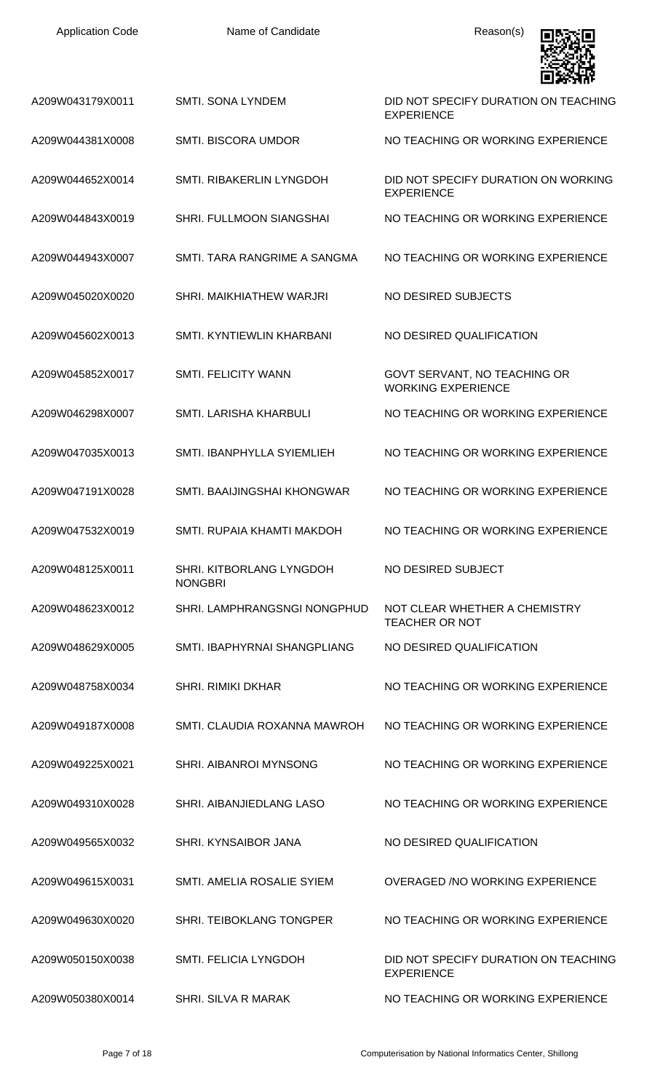| A209W043179X0011 | <b>SMTI. SONA LYNDEM</b>                   | DID NOT SPECIFY DURATION ON TEACHING<br><b>EXPERIENCE</b> |
|------------------|--------------------------------------------|-----------------------------------------------------------|
| A209W044381X0008 | <b>SMTI. BISCORA UMDOR</b>                 | NO TEACHING OR WORKING EXPERIENCE                         |
| A209W044652X0014 | SMTI. RIBAKERLIN LYNGDOH                   | DID NOT SPECIFY DURATION ON WORKING<br><b>EXPERIENCE</b>  |
| A209W044843X0019 | <b>SHRI. FULLMOON SIANGSHAI</b>            | NO TEACHING OR WORKING EXPERIENCE                         |
| A209W044943X0007 | SMTI. TARA RANGRIME A SANGMA               | NO TEACHING OR WORKING EXPERIENCE                         |
| A209W045020X0020 | SHRI. MAIKHIATHEW WARJRI                   | NO DESIRED SUBJECTS                                       |
| A209W045602X0013 | SMTI. KYNTIEWLIN KHARBANI                  | NO DESIRED QUALIFICATION                                  |
| A209W045852X0017 | <b>SMTI. FELICITY WANN</b>                 | GOVT SERVANT, NO TEACHING OR<br><b>WORKING EXPERIENCE</b> |
| A209W046298X0007 | SMTI. LARISHA KHARBULI                     | NO TEACHING OR WORKING EXPERIENCE                         |
| A209W047035X0013 | SMTI. IBANPHYLLA SYIEMLIEH                 | NO TEACHING OR WORKING EXPERIENCE                         |
| A209W047191X0028 | SMTI. BAAIJINGSHAI KHONGWAR                | NO TEACHING OR WORKING EXPERIENCE                         |
| A209W047532X0019 | SMTI. RUPAIA KHAMTI MAKDOH                 | NO TEACHING OR WORKING EXPERIENCE                         |
| A209W048125X0011 | SHRI. KITBORLANG LYNGDOH<br><b>NONGBRI</b> | NO DESIRED SUBJECT                                        |
| A209W048623X0012 | SHRI. LAMPHRANGSNGI NONGPHUD               | NOT CLEAR WHETHER A CHEMISTRY<br><b>TEACHER OR NOT</b>    |
| A209W048629X0005 | SMTI. IBAPHYRNAI SHANGPLIANG               | NO DESIRED QUALIFICATION                                  |
| A209W048758X0034 | <b>SHRI, RIMIKI DKHAR</b>                  | NO TEACHING OR WORKING EXPERIENCE                         |
| A209W049187X0008 | SMTI. CLAUDIA ROXANNA MAWROH               | NO TEACHING OR WORKING EXPERIENCE                         |
| A209W049225X0021 | SHRI. AIBANROI MYNSONG                     | NO TEACHING OR WORKING EXPERIENCE                         |
| A209W049310X0028 | SHRI. AIBANJIEDLANG LASO                   | NO TEACHING OR WORKING EXPERIENCE                         |
| A209W049565X0032 | SHRI. KYNSAIBOR JANA                       | NO DESIRED QUALIFICATION                                  |
| A209W049615X0031 | SMTI. AMELIA ROSALIE SYIEM                 | OVERAGED / NO WORKING EXPERIENCE                          |
| A209W049630X0020 | SHRI. TEIBOKLANG TONGPER                   | NO TEACHING OR WORKING EXPERIENCE                         |
| A209W050150X0038 | SMTL FELICIA LYNGDOH                       | DID NOT SPECIFY DURATION ON TEACHING<br><b>EXPERIENCE</b> |
| A209W050380X0014 | <b>SHRI. SILVA R MARAK</b>                 | NO TEACHING OR WORKING EXPERIENCE                         |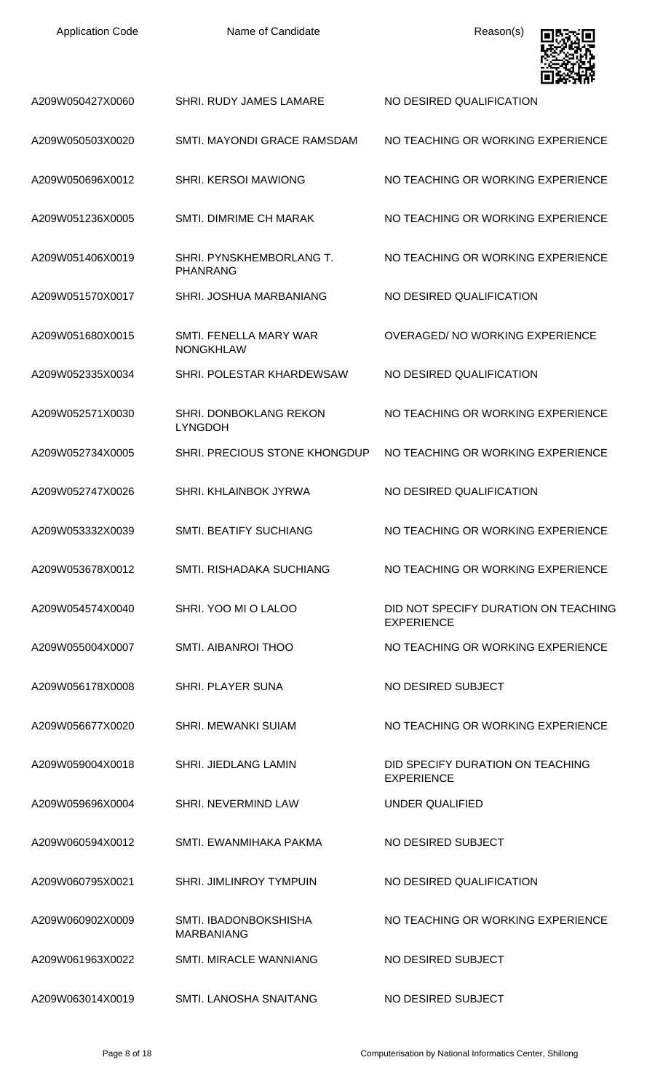| <b>Application Code</b> | Name of Candidate                                 | Reason(s)                                                 |
|-------------------------|---------------------------------------------------|-----------------------------------------------------------|
| A209W050427X0060        | SHRI. RUDY JAMES LAMARE                           | NO DESIRED QUALIFICATION                                  |
| A209W050503X0020        | SMTI. MAYONDI GRACE RAMSDAM                       | NO TEACHING OR WORKING EXPERIENCE                         |
| A209W050696X0012        | <b>SHRI. KERSOI MAWIONG</b>                       | NO TEACHING OR WORKING EXPERIENCE                         |
| A209W051236X0005        | <b>SMTI. DIMRIME CH MARAK</b>                     | NO TEACHING OR WORKING EXPERIENCE                         |
| A209W051406X0019        | SHRI. PYNSKHEMBORLANG T.<br><b>PHANRANG</b>       | NO TEACHING OR WORKING EXPERIENCE                         |
| A209W051570X0017        | SHRI. JOSHUA MARBANIANG                           | NO DESIRED QUALIFICATION                                  |
| A209W051680X0015        | SMTI. FENELLA MARY WAR<br><b>NONGKHLAW</b>        | OVERAGED/ NO WORKING EXPERIENCE                           |
| A209W052335X0034        | SHRI. POLESTAR KHARDEWSAW                         | NO DESIRED QUALIFICATION                                  |
| A209W052571X0030        | SHRI. DONBOKLANG REKON<br><b>LYNGDOH</b>          | NO TEACHING OR WORKING EXPERIENCE                         |
| A209W052734X0005        | SHRI. PRECIOUS STONE KHONGDUP                     | NO TEACHING OR WORKING EXPERIENCE                         |
| A209W052747X0026        | SHRI, KHLAINBOK JYRWA                             | NO DESIRED QUALIFICATION                                  |
| A209W053332X0039        | <b>SMTI. BEATIFY SUCHIANG</b>                     | NO TEACHING OR WORKING EXPERIENCE                         |
| A209W053678X0012        | <b>SMTI. RISHADAKA SUCHIANG</b>                   | NO TEACHING OR WORKING EXPERIENCE                         |
| A209W054574X0040        | SHRI. YOO MI O LALOO                              | DID NOT SPECIFY DURATION ON TEACHING<br><b>EXPERIENCE</b> |
| A209W055004X0007        | <b>SMTI. AIBANROI THOO</b>                        | NO TEACHING OR WORKING EXPERIENCE                         |
| A209W056178X0008        | SHRI. PLAYER SUNA                                 | NO DESIRED SUBJECT                                        |
| A209W056677X0020        | <b>SHRI. MEWANKI SUIAM</b>                        | NO TEACHING OR WORKING EXPERIENCE                         |
| A209W059004X0018        | <b>SHRI. JIEDLANG LAMIN</b>                       | DID SPECIFY DURATION ON TEACHING<br><b>EXPERIENCE</b>     |
| A209W059696X0004        | SHRI. NEVERMIND LAW                               | <b>UNDER QUALIFIED</b>                                    |
| A209W060594X0012        | SMTI. EWANMIHAKA PAKMA                            | NO DESIRED SUBJECT                                        |
| A209W060795X0021        | <b>SHRI. JIMLINROY TYMPUIN</b>                    | NO DESIRED QUALIFICATION                                  |
| A209W060902X0009        | <b>SMTI. IBADONBOKSHISHA</b><br><b>MARBANIANG</b> | NO TEACHING OR WORKING EXPERIENCE                         |
| A209W061963X0022        | <b>SMTI. MIRACLE WANNIANG</b>                     | NO DESIRED SUBJECT                                        |
| A209W063014X0019        | SMTI. LANOSHA SNAITANG                            | NO DESIRED SUBJECT                                        |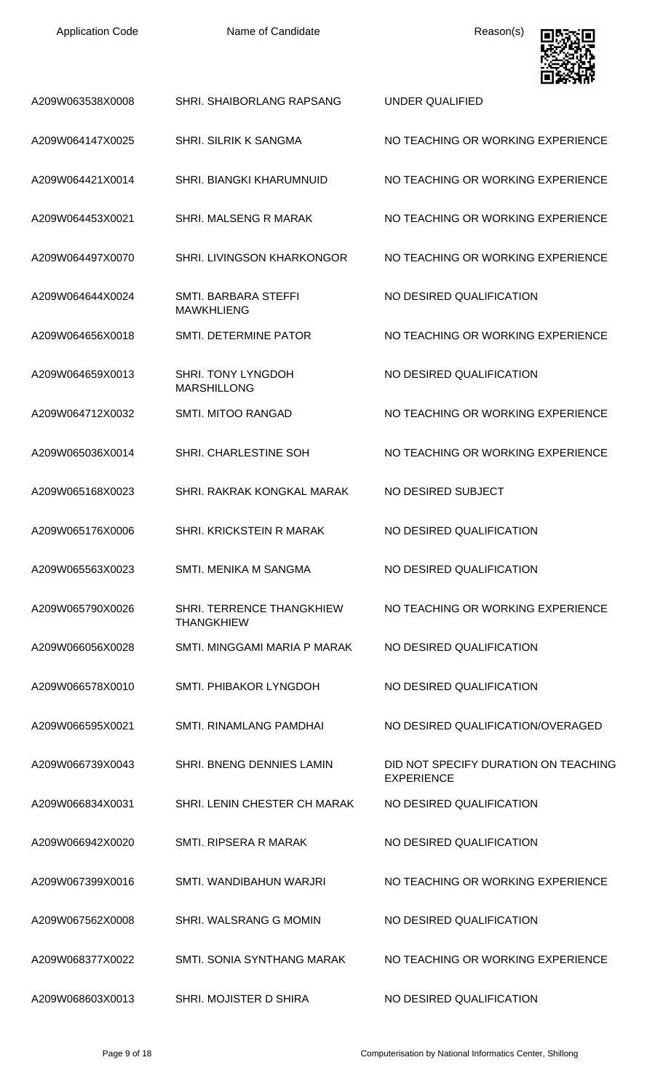| <b>Application Code</b> | Name of Candidate                               | Reason(s)                                                 |
|-------------------------|-------------------------------------------------|-----------------------------------------------------------|
| A209W063538X0008        | <b>SHRI. SHAIBORLANG RAPSANG</b>                | UNDER QUALIFIED                                           |
| A209W064147X0025        | <b>SHRI. SILRIK K SANGMA</b>                    | NO TEACHING OR WORKING EXPERIENCE                         |
| A209W064421X0014        | <b>SHRI. BIANGKI KHARUMNUID</b>                 | NO TEACHING OR WORKING EXPERIENCE                         |
| A209W064453X0021        | SHRI. MALSENG R MARAK                           | NO TEACHING OR WORKING EXPERIENCE                         |
| A209W064497X0070        | <b>SHRI. LIVINGSON KHARKONGOR</b>               | NO TEACHING OR WORKING EXPERIENCE                         |
| A209W064644X0024        | SMTI. BARBARA STEFFI<br><b>MAWKHLIENG</b>       | NO DESIRED QUALIFICATION                                  |
| A209W064656X0018        | SMTI. DETERMINE PATOR                           | NO TEACHING OR WORKING EXPERIENCE                         |
| A209W064659X0013        | <b>SHRI. TONY LYNGDOH</b><br><b>MARSHILLONG</b> | NO DESIRED QUALIFICATION                                  |
| A209W064712X0032        | SMTI. MITOO RANGAD                              | NO TEACHING OR WORKING EXPERIENCE                         |
| A209W065036X0014        | SHRI. CHARLESTINE SOH                           | NO TEACHING OR WORKING EXPERIENCE                         |
| A209W065168X0023        | SHRI, RAKRAK KONGKAL MARAK                      | NO DESIRED SUBJECT                                        |
| A209W065176X0006        | SHRI, KRICKSTEIN R MARAK                        | NO DESIRED QUALIFICATION                                  |
| A209W065563X0023        | SMTI. MENIKA M SANGMA                           | NO DESIRED QUALIFICATION                                  |
| A209W065790X0026        | SHRI. TERRENCE THANGKHIEW<br><b>THANGKHIEW</b>  | NO TEACHING OR WORKING EXPERIENCE                         |
| A209W066056X0028        | SMTI. MINGGAMI MARIA P MARAK                    | NO DESIRED QUALIFICATION                                  |
| A209W066578X0010        | SMTI. PHIBAKOR LYNGDOH                          | NO DESIRED QUALIFICATION                                  |
| A209W066595X0021        | SMTI. RINAMLANG PAMDHAI                         | NO DESIRED QUALIFICATION/OVERAGED                         |
| A209W066739X0043        | SHRI. BNENG DENNIES LAMIN                       | DID NOT SPECIFY DURATION ON TEACHING<br><b>EXPERIENCE</b> |
| A209W066834X0031        | SHRI. LENIN CHESTER CH MARAK                    | NO DESIRED QUALIFICATION                                  |
| A209W066942X0020        | <b>SMTI. RIPSERA R MARAK</b>                    | NO DESIRED QUALIFICATION                                  |
| A209W067399X0016        | SMTI. WANDIBAHUN WARJRI                         | NO TEACHING OR WORKING EXPERIENCE                         |
| A209W067562X0008        | SHRI, WALSRANG G MOMIN                          | NO DESIRED QUALIFICATION                                  |
| A209W068377X0022        | SMTI. SONIA SYNTHANG MARAK                      | NO TEACHING OR WORKING EXPERIENCE                         |
| A209W068603X0013        | SHRI. MOJISTER D SHIRA                          | NO DESIRED QUALIFICATION                                  |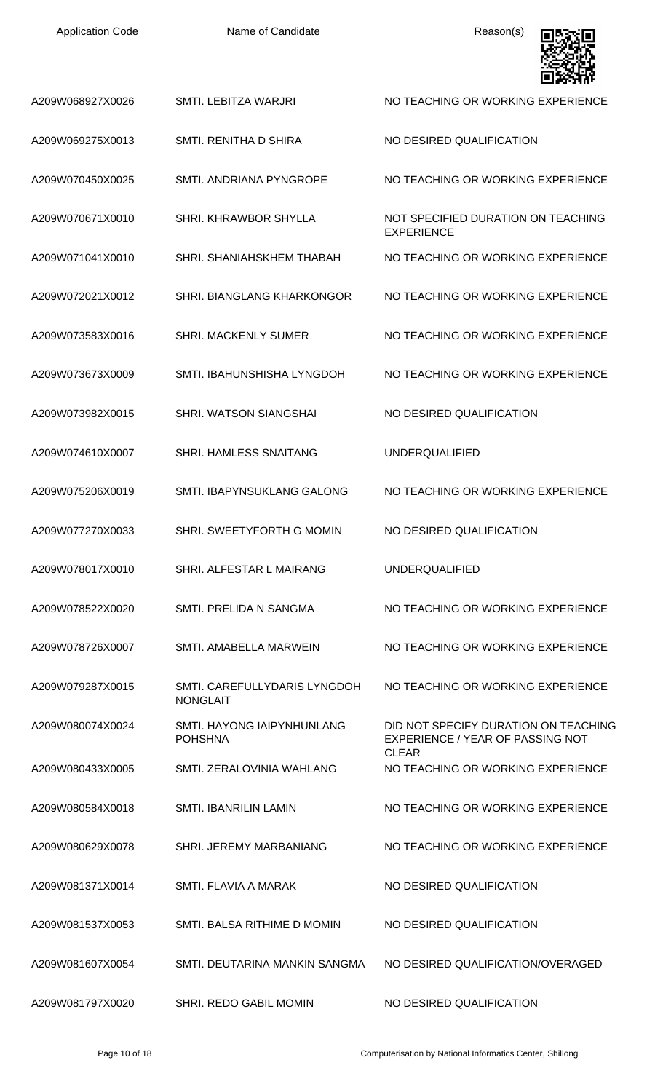| <b>Application Code</b> | Name of Candidate                               | Reason(s)                                                                                |
|-------------------------|-------------------------------------------------|------------------------------------------------------------------------------------------|
| A209W068927X0026        | SMTI. LEBITZA WARJRI                            | NO TEACHING OR WORKING EXPERIENCE                                                        |
| A209W069275X0013        | SMTI. RENITHA D SHIRA                           | NO DESIRED QUALIFICATION                                                                 |
| A209W070450X0025        | SMTI. ANDRIANA PYNGROPE                         | NO TEACHING OR WORKING EXPERIENCE                                                        |
| A209W070671X0010        | SHRI, KHRAWBOR SHYLLA                           | NOT SPECIFIED DURATION ON TEACHING<br><b>EXPERIENCE</b>                                  |
| A209W071041X0010        | SHRI. SHANIAHSKHEM THABAH                       | NO TEACHING OR WORKING EXPERIENCE                                                        |
| A209W072021X0012        | <b>SHRI. BIANGLANG KHARKONGOR</b>               | NO TEACHING OR WORKING EXPERIENCE                                                        |
| A209W073583X0016        | <b>SHRI. MACKENLY SUMER</b>                     | NO TEACHING OR WORKING EXPERIENCE                                                        |
| A209W073673X0009        | SMTI. IBAHUNSHISHA LYNGDOH                      | NO TEACHING OR WORKING EXPERIENCE                                                        |
| A209W073982X0015        | SHRI. WATSON SIANGSHAI                          | NO DESIRED QUALIFICATION                                                                 |
| A209W074610X0007        | SHRI. HAMLESS SNAITANG                          | <b>UNDERQUALIFIED</b>                                                                    |
| A209W075206X0019        | SMTI. IBAPYNSUKLANG GALONG                      | NO TEACHING OR WORKING EXPERIENCE                                                        |
| A209W077270X0033        | SHRI. SWEETYFORTH G MOMIN                       | NO DESIRED QUALIFICATION                                                                 |
| A209W078017X0010        | SHRI. ALFESTAR L MAIRANG                        | <b>UNDERQUALIFIED</b>                                                                    |
| A209W078522X0020        | SMTL PRELIDA N SANGMA                           | NO TEACHING OR WORKING EXPERIENCE                                                        |
| A209W078726X0007        | SMTI, AMABELLA MARWEIN                          | NO TEACHING OR WORKING EXPERIENCE                                                        |
| A209W079287X0015        | SMTI. CAREFULLYDARIS LYNGDOH<br><b>NONGLAIT</b> | NO TEACHING OR WORKING EXPERIENCE                                                        |
| A209W080074X0024        | SMTI. HAYONG IAIPYNHUNLANG<br><b>POHSHNA</b>    | DID NOT SPECIFY DURATION ON TEACHING<br>EXPERIENCE / YEAR OF PASSING NOT<br><b>CLEAR</b> |
| A209W080433X0005        | SMTI. ZERALOVINIA WAHLANG                       | NO TEACHING OR WORKING EXPERIENCE                                                        |
| A209W080584X0018        | <b>SMTI. IBANRILIN LAMIN</b>                    | NO TEACHING OR WORKING EXPERIENCE                                                        |
| A209W080629X0078        | SHRI. JEREMY MARBANIANG                         | NO TEACHING OR WORKING EXPERIENCE                                                        |
| A209W081371X0014        | SMTI. FLAVIA A MARAK                            | NO DESIRED QUALIFICATION                                                                 |
| A209W081537X0053        | SMTI. BALSA RITHIME D MOMIN                     | NO DESIRED QUALIFICATION                                                                 |
| A209W081607X0054        | SMTI. DEUTARINA MANKIN SANGMA                   | NO DESIRED QUALIFICATION/OVERAGED                                                        |
| A209W081797X0020        | SHRI. REDO GABIL MOMIN                          | NO DESIRED QUALIFICATION                                                                 |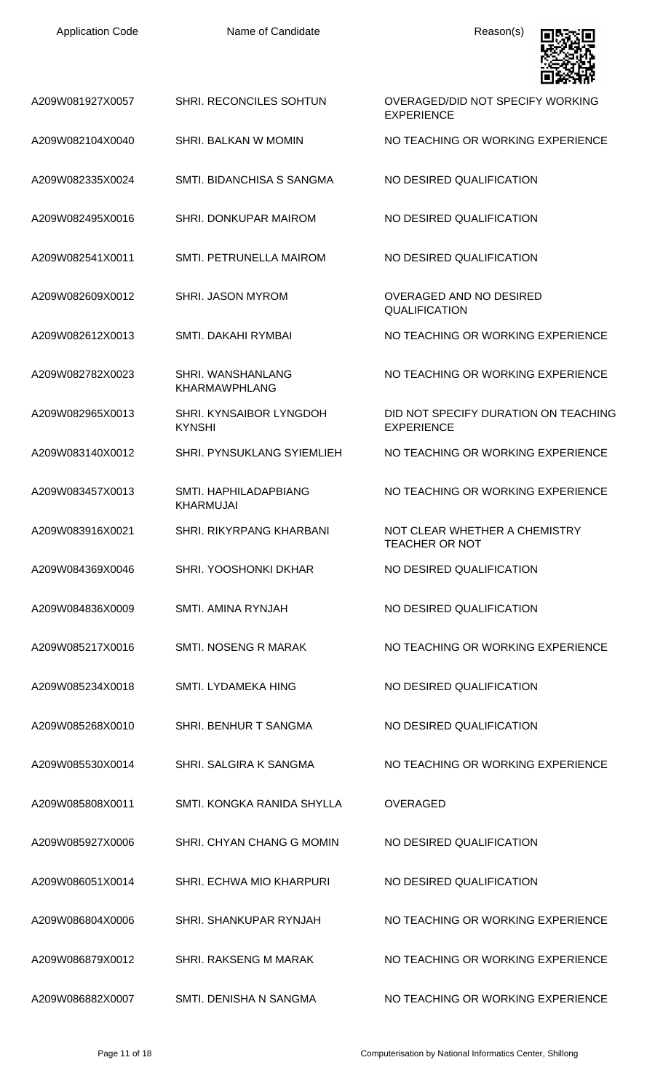| <b>Application Code</b> | Name of Candidate                         | Reason(s)                                                    |
|-------------------------|-------------------------------------------|--------------------------------------------------------------|
| A209W081927X0057        | SHRI. RECONCILES SOHTUN                   | <b>OVERAGED/DID NOT SPECIFY WORKING</b><br><b>EXPERIENCE</b> |
| A209W082104X0040        | SHRI. BALKAN W MOMIN                      | NO TEACHING OR WORKING EXPERIENCE                            |
| A209W082335X0024        | SMTI. BIDANCHISA S SANGMA                 | NO DESIRED QUALIFICATION                                     |
| A209W082495X0016        | SHRI. DONKUPAR MAIROM                     | NO DESIRED QUALIFICATION                                     |
| A209W082541X0011        | SMTI. PETRUNELLA MAIROM                   | NO DESIRED QUALIFICATION                                     |
| A209W082609X0012        | <b>SHRI. JASON MYROM</b>                  | <b>OVERAGED AND NO DESIRED</b><br><b>QUALIFICATION</b>       |
| A209W082612X0013        | SMTI. DAKAHI RYMBAI                       | NO TEACHING OR WORKING EXPERIENCE                            |
| A209W082782X0023        | SHRI. WANSHANLANG<br><b>KHARMAWPHLANG</b> | NO TEACHING OR WORKING EXPERIENCE                            |
| A209W082965X0013        | SHRI. KYNSAIBOR LYNGDOH<br><b>KYNSHI</b>  | DID NOT SPECIFY DURATION ON TEACHING<br><b>EXPERIENCE</b>    |
| A209W083140X0012        | SHRI. PYNSUKLANG SYIEMLIEH                | NO TEACHING OR WORKING EXPERIENCE                            |
| A209W083457X0013        | SMTI. HAPHILADAPBIANG<br>KHARMUJAI        | NO TEACHING OR WORKING EXPERIENCE                            |
| A209W083916X0021        | SHRI. RIKYRPANG KHARBANI                  | NOT CLEAR WHETHER A CHEMISTRY<br><b>TEACHER OR NOT</b>       |
| A209W084369X0046        | SHRI. YOOSHONKI DKHAR                     | NO DESIRED QUALIFICATION                                     |
| A209W084836X0009        | SMTI. AMINA RYNJAH                        | NO DESIRED QUALIFICATION                                     |
| A209W085217X0016        | <b>SMTI. NOSENG R MARAK</b>               | NO TEACHING OR WORKING EXPERIENCE                            |
| A209W085234X0018        | <b>SMTI. LYDAMEKA HING</b>                | NO DESIRED QUALIFICATION                                     |
| A209W085268X0010        | SHRI. BENHUR T SANGMA                     | NO DESIRED QUALIFICATION                                     |
| A209W085530X0014        | SHRI. SALGIRA K SANGMA                    | NO TEACHING OR WORKING EXPERIENCE                            |
| A209W085808X0011        | SMTI, KONGKA RANIDA SHYLLA                | <b>OVERAGED</b>                                              |
| A209W085927X0006        | SHRI. CHYAN CHANG G MOMIN                 | NO DESIRED QUALIFICATION                                     |
| A209W086051X0014        | <b>SHRI. ECHWA MIO KHARPURI</b>           | NO DESIRED QUALIFICATION                                     |
| A209W086804X0006        | SHRI. SHANKUPAR RYNJAH                    | NO TEACHING OR WORKING EXPERIENCE                            |
| A209W086879X0012        | SHRI. RAKSENG M MARAK                     | NO TEACHING OR WORKING EXPERIENCE                            |
| A209W086882X0007        | SMTI. DENISHA N SANGMA                    | NO TEACHING OR WORKING EXPERIENCE                            |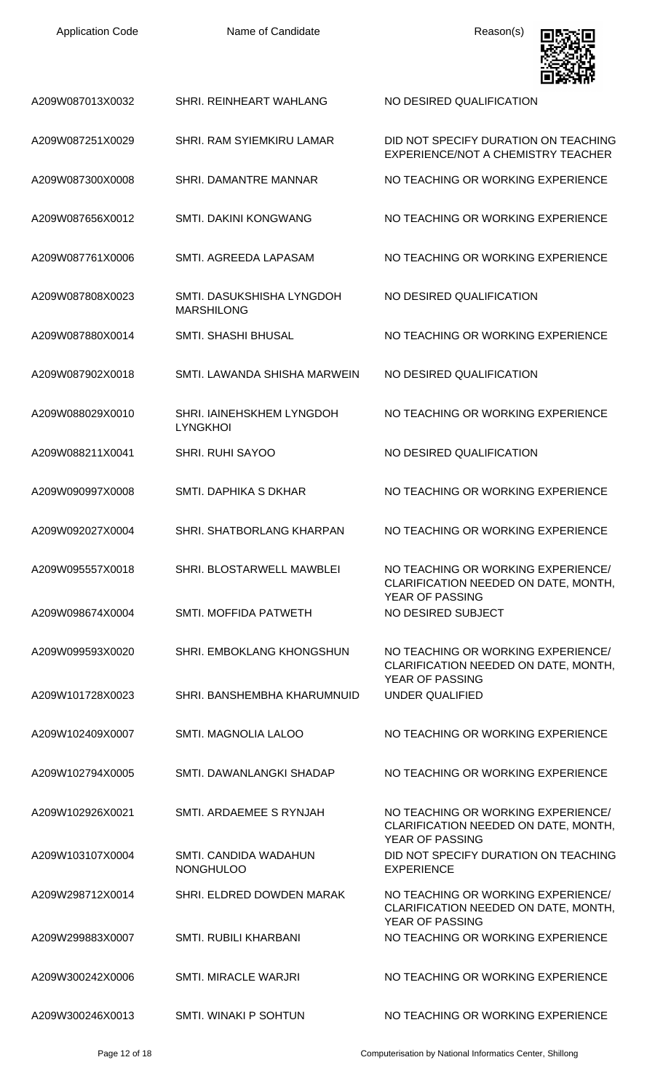| <b>Application Code</b> | Name of Candidate                              | Reason(s)                                                                                            |
|-------------------------|------------------------------------------------|------------------------------------------------------------------------------------------------------|
| A209W087013X0032        | <b>SHRI. REINHEART WAHLANG</b>                 | NO DESIRED QUALIFICATION                                                                             |
| A209W087251X0029        | SHRI, RAM SYIEMKIRU LAMAR                      | DID NOT SPECIFY DURATION ON TEACHING<br>EXPERIENCE/NOT A CHEMISTRY TEACHER                           |
| A209W087300X0008        | SHRI. DAMANTRE MANNAR                          | NO TEACHING OR WORKING EXPERIENCE                                                                    |
| A209W087656X0012        | <b>SMTI. DAKINI KONGWANG</b>                   | NO TEACHING OR WORKING EXPERIENCE                                                                    |
| A209W087761X0006        | SMTI. AGREEDA LAPASAM                          | NO TEACHING OR WORKING EXPERIENCE                                                                    |
| A209W087808X0023        | SMTI, DASUKSHISHA LYNGDOH<br><b>MARSHILONG</b> | NO DESIRED QUALIFICATION                                                                             |
| A209W087880X0014        | <b>SMTI. SHASHI BHUSAL</b>                     | NO TEACHING OR WORKING EXPERIENCE                                                                    |
| A209W087902X0018        | SMTI. LAWANDA SHISHA MARWEIN                   | NO DESIRED QUALIFICATION                                                                             |
| A209W088029X0010        | SHRI. IAINEHSKHEM LYNGDOH<br><b>LYNGKHOI</b>   | NO TEACHING OR WORKING EXPERIENCE                                                                    |
| A209W088211X0041        | <b>SHRI. RUHI SAYOO</b>                        | NO DESIRED QUALIFICATION                                                                             |
| A209W090997X0008        | SMTI, DAPHIKA S DKHAR                          | NO TEACHING OR WORKING EXPERIENCE                                                                    |
| A209W092027X0004        | SHRI. SHATBORLANG KHARPAN                      | NO TEACHING OR WORKING EXPERIENCE                                                                    |
| A209W095557X0018        | SHRI. BLOSTARWELL MAWBLEI                      | NO TEACHING OR WORKING EXPERIENCE/<br>CLARIFICATION NEEDED ON DATE, MONTH,<br>YEAR OF PASSING        |
| A209W098674X0004        | SMTI. MOFFIDA PATWETH                          | NO DESIRED SUBJECT                                                                                   |
| A209W099593X0020        | SHRI. EMBOKLANG KHONGSHUN                      | NO TEACHING OR WORKING EXPERIENCE/<br>CLARIFICATION NEEDED ON DATE, MONTH,<br>YEAR OF PASSING        |
| A209W101728X0023        | SHRI. BANSHEMBHA KHARUMNUID                    | UNDER QUALIFIED                                                                                      |
| A209W102409X0007        | SMTI. MAGNOLIA LALOO                           | NO TEACHING OR WORKING EXPERIENCE                                                                    |
| A209W102794X0005        | SMTI. DAWANLANGKI SHADAP                       | NO TEACHING OR WORKING EXPERIENCE                                                                    |
| A209W102926X0021        | SMTI, ARDAEMEE S RYNJAH                        | NO TEACHING OR WORKING EXPERIENCE/<br>CLARIFICATION NEEDED ON DATE, MONTH,<br><b>YEAR OF PASSING</b> |
| A209W103107X0004        | SMTI. CANDIDA WADAHUN<br><b>NONGHULOO</b>      | DID NOT SPECIFY DURATION ON TEACHING<br><b>EXPERIENCE</b>                                            |
| A209W298712X0014        | SHRI. ELDRED DOWDEN MARAK                      | NO TEACHING OR WORKING EXPERIENCE/<br>CLARIFICATION NEEDED ON DATE, MONTH,<br><b>YEAR OF PASSING</b> |
| A209W299883X0007        | <b>SMTI. RUBILI KHARBANI</b>                   | NO TEACHING OR WORKING EXPERIENCE                                                                    |
| A209W300242X0006        | SMTI. MIRACLE WARJRI                           | NO TEACHING OR WORKING EXPERIENCE                                                                    |
| A209W300246X0013        | <b>SMTI. WINAKI P SOHTUN</b>                   | NO TEACHING OR WORKING EXPERIENCE                                                                    |

Page 12 of 18 Computerisation by National Informatics Center, Shillong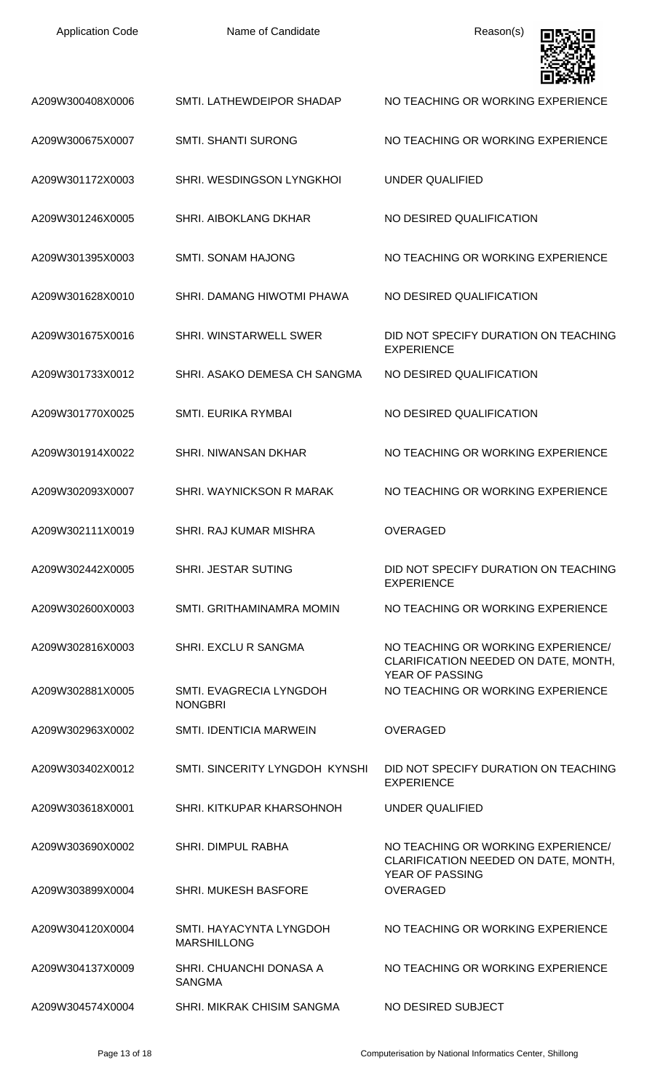| <b>Application Code</b> | Name of Candidate                             | Reason(s)                                                                                     |
|-------------------------|-----------------------------------------------|-----------------------------------------------------------------------------------------------|
| A209W300408X0006        | SMTI. LATHEWDEIPOR SHADAP                     | NO TEACHING OR WORKING EXPERIENCE                                                             |
| A209W300675X0007        | <b>SMTI. SHANTI SURONG</b>                    | NO TEACHING OR WORKING EXPERIENCE                                                             |
| A209W301172X0003        | SHRI. WESDINGSON LYNGKHOI                     | <b>UNDER QUALIFIED</b>                                                                        |
| A209W301246X0005        | SHRI. AIBOKLANG DKHAR                         | NO DESIRED QUALIFICATION                                                                      |
| A209W301395X0003        | <b>SMTI. SONAM HAJONG</b>                     | NO TEACHING OR WORKING EXPERIENCE                                                             |
| A209W301628X0010        | SHRI. DAMANG HIWOTMI PHAWA                    | NO DESIRED QUALIFICATION                                                                      |
| A209W301675X0016        | SHRI. WINSTARWELL SWER                        | DID NOT SPECIFY DURATION ON TEACHING<br><b>EXPERIENCE</b>                                     |
| A209W301733X0012        | SHRI. ASAKO DEMESA CH SANGMA                  | NO DESIRED QUALIFICATION                                                                      |
| A209W301770X0025        | <b>SMTI. EURIKA RYMBAI</b>                    | NO DESIRED QUALIFICATION                                                                      |
| A209W301914X0022        | SHRI. NIWANSAN DKHAR                          | NO TEACHING OR WORKING EXPERIENCE                                                             |
| A209W302093X0007        | SHRI. WAYNICKSON R MARAK                      | NO TEACHING OR WORKING EXPERIENCE                                                             |
| A209W302111X0019        | SHRI. RAJ KUMAR MISHRA                        | <b>OVERAGED</b>                                                                               |
| A209W302442X0005        | <b>SHRI. JESTAR SUTING</b>                    | DID NOT SPECIFY DURATION ON TEACHING<br><b>EXPERIENCE</b>                                     |
| A209W302600X0003        | SMTI. GRITHAMINAMRA MOMIN                     | NO TEACHING OR WORKING EXPERIENCE                                                             |
| A209W302816X0003        | SHRI. EXCLU R SANGMA                          | NO TEACHING OR WORKING EXPERIENCE/<br>CLARIFICATION NEEDED ON DATE, MONTH,                    |
| A209W302881X0005        | SMTI. EVAGRECIA LYNGDOH<br><b>NONGBRI</b>     | YEAR OF PASSING<br>NO TEACHING OR WORKING EXPERIENCE                                          |
| A209W302963X0002        | <b>SMTI. IDENTICIA MARWEIN</b>                | <b>OVERAGED</b>                                                                               |
| A209W303402X0012        | SMTI, SINCERITY LYNGDOH KYNSHI                | DID NOT SPECIFY DURATION ON TEACHING<br><b>EXPERIENCE</b>                                     |
| A209W303618X0001        | SHRI. KITKUPAR KHARSOHNOH                     | UNDER QUALIFIED                                                                               |
| A209W303690X0002        | <b>SHRI. DIMPUL RABHA</b>                     | NO TEACHING OR WORKING EXPERIENCE/<br>CLARIFICATION NEEDED ON DATE, MONTH,<br>YEAR OF PASSING |
| A209W303899X0004        | <b>SHRI. MUKESH BASFORE</b>                   | <b>OVERAGED</b>                                                                               |
| A209W304120X0004        | SMTI. HAYACYNTA LYNGDOH<br><b>MARSHILLONG</b> | NO TEACHING OR WORKING EXPERIENCE                                                             |
| A209W304137X0009        | SHRI. CHUANCHI DONASA A<br><b>SANGMA</b>      | NO TEACHING OR WORKING EXPERIENCE                                                             |
| A209W304574X0004        | <b>SHRI, MIKRAK CHISIM SANGMA</b>             | NO DESIRED SUBJECT                                                                            |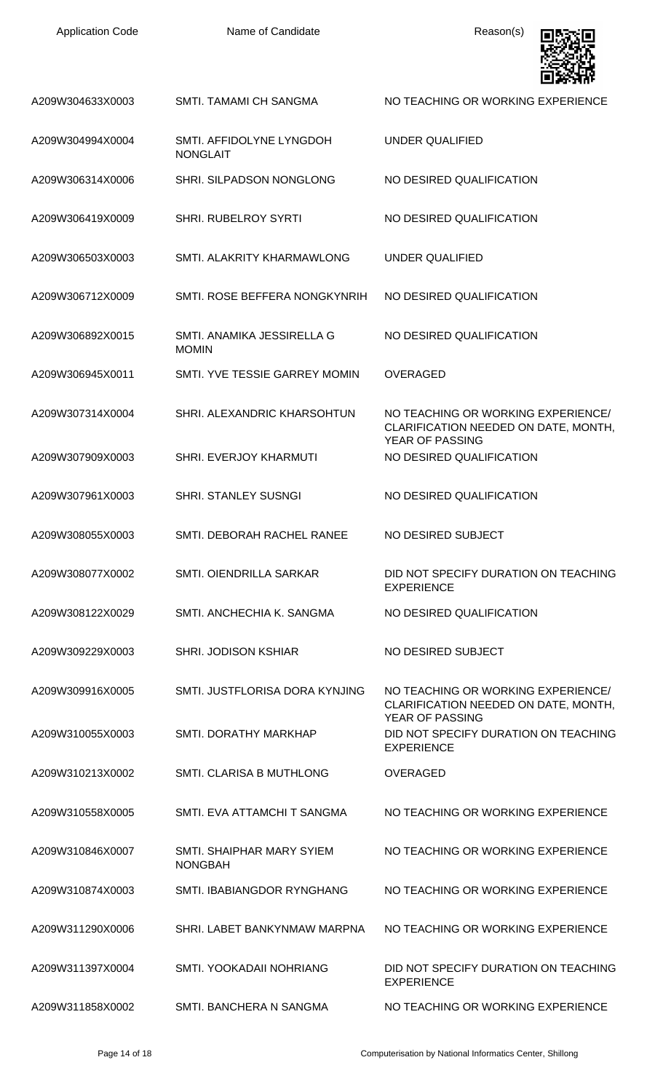| <b>Application Code</b> | Name of Candidate                           | Reason(s)                                                                                            |
|-------------------------|---------------------------------------------|------------------------------------------------------------------------------------------------------|
| A209W304633X0003        | SMTI. TAMAMI CH SANGMA                      | NO TEACHING OR WORKING EXPERIENCE                                                                    |
| A209W304994X0004        | SMTI. AFFIDOLYNE LYNGDOH<br><b>NONGLAIT</b> | <b>UNDER QUALIFIED</b>                                                                               |
| A209W306314X0006        | SHRI. SILPADSON NONGLONG                    | NO DESIRED QUALIFICATION                                                                             |
| A209W306419X0009        | <b>SHRI. RUBELROY SYRTI</b>                 | NO DESIRED QUALIFICATION                                                                             |
| A209W306503X0003        | SMTI. ALAKRITY KHARMAWLONG                  | <b>UNDER QUALIFIED</b>                                                                               |
| A209W306712X0009        | SMTI. ROSE BEFFERA NONGKYNRIH               | NO DESIRED QUALIFICATION                                                                             |
| A209W306892X0015        | SMTI. ANAMIKA JESSIRELLA G<br><b>MOMIN</b>  | NO DESIRED QUALIFICATION                                                                             |
| A209W306945X0011        | SMTI. YVE TESSIE GARREY MOMIN               | <b>OVERAGED</b>                                                                                      |
| A209W307314X0004        | SHRI. ALEXANDRIC KHARSOHTUN                 | NO TEACHING OR WORKING EXPERIENCE/<br>CLARIFICATION NEEDED ON DATE, MONTH,<br><b>YEAR OF PASSING</b> |
| A209W307909X0003        | SHRI. EVERJOY KHARMUTI                      | NO DESIRED QUALIFICATION                                                                             |
| A209W307961X0003        | <b>SHRI. STANLEY SUSNGI</b>                 | NO DESIRED QUALIFICATION                                                                             |
| A209W308055X0003        | SMTI. DEBORAH RACHEL RANEE                  | NO DESIRED SUBJECT                                                                                   |
| A209W308077X0002        | <b>SMTI. OIENDRILLA SARKAR</b>              | DID NOT SPECIFY DURATION ON TEACHING<br><b>EXPERIENCE</b>                                            |
| A209W308122X0029        | SMTI. ANCHECHIA K. SANGMA                   | NO DESIRED QUALIFICATION                                                                             |
| A209W309229X0003        | <b>SHRI. JODISON KSHIAR</b>                 | NO DESIRED SUBJECT                                                                                   |
| A209W309916X0005        | SMTI. JUSTFLORISA DORA KYNJING              | NO TEACHING OR WORKING EXPERIENCE/<br>CLARIFICATION NEEDED ON DATE, MONTH,<br>YEAR OF PASSING        |
| A209W310055X0003        | SMTI. DORATHY MARKHAP                       | DID NOT SPECIFY DURATION ON TEACHING<br><b>EXPERIENCE</b>                                            |
| A209W310213X0002        | SMTI. CLARISA B MUTHLONG                    | <b>OVERAGED</b>                                                                                      |
| A209W310558X0005        | SMTI. EVA ATTAMCHI T SANGMA                 | NO TEACHING OR WORKING EXPERIENCE                                                                    |
| A209W310846X0007        | SMTI. SHAIPHAR MARY SYIEM<br><b>NONGBAH</b> | NO TEACHING OR WORKING EXPERIENCE                                                                    |
| A209W310874X0003        | SMTL IBABIANGDOR RYNGHANG                   | NO TEACHING OR WORKING EXPERIENCE                                                                    |
| A209W311290X0006        | SHRI. LABET BANKYNMAW MARPNA                | NO TEACHING OR WORKING EXPERIENCE                                                                    |
| A209W311397X0004        | SMTI. YOOKADAII NOHRIANG                    | DID NOT SPECIFY DURATION ON TEACHING<br><b>EXPERIENCE</b>                                            |
| A209W311858X0002        | SMTI. BANCHERA N SANGMA                     | NO TEACHING OR WORKING EXPERIENCE                                                                    |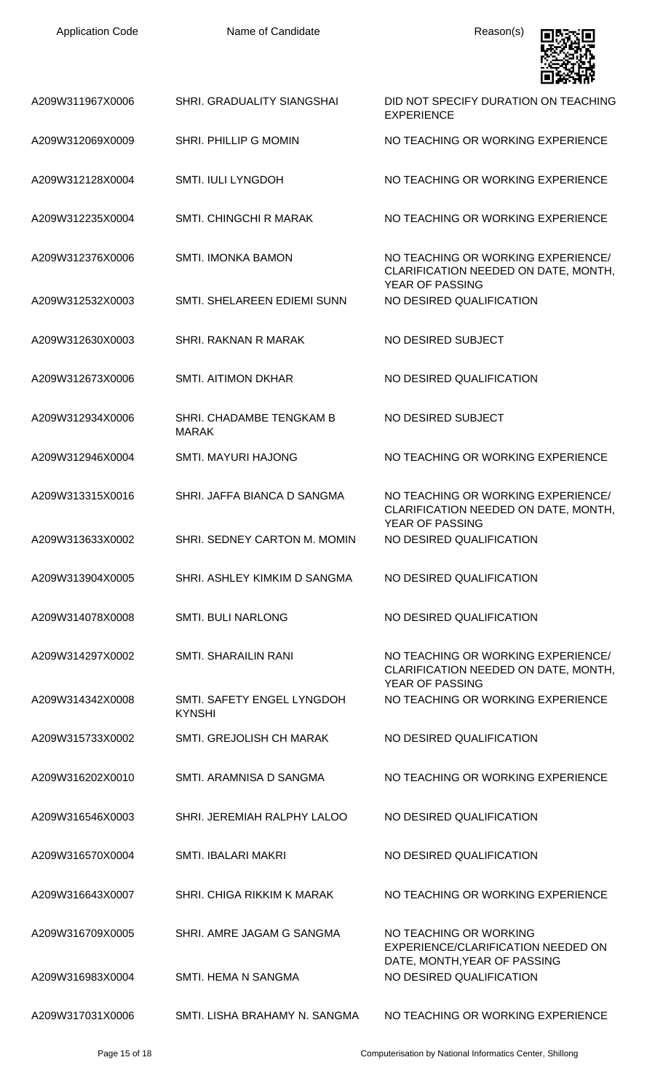| <b>Application Code</b> | Name of Candidate                           | Reason(s)                                                                                            |
|-------------------------|---------------------------------------------|------------------------------------------------------------------------------------------------------|
| A209W311967X0006        | <b>SHRI. GRADUALITY SIANGSHAI</b>           | DID NOT SPECIFY DURATION ON TEACHING<br><b>EXPERIENCE</b>                                            |
| A209W312069X0009        | SHRI. PHILLIP G MOMIN                       | NO TEACHING OR WORKING EXPERIENCE                                                                    |
| A209W312128X0004        | <b>SMTI. IULI LYNGDOH</b>                   | NO TEACHING OR WORKING EXPERIENCE                                                                    |
| A209W312235X0004        | SMTI. CHINGCHI R MARAK                      | NO TEACHING OR WORKING EXPERIENCE                                                                    |
| A209W312376X0006        | <b>SMTI. IMONKA BAMON</b>                   | NO TEACHING OR WORKING EXPERIENCE/<br>CLARIFICATION NEEDED ON DATE, MONTH,<br><b>YEAR OF PASSING</b> |
| A209W312532X0003        | SMTI. SHELAREEN EDIEMI SUNN                 | NO DESIRED QUALIFICATION                                                                             |
| A209W312630X0003        | SHRI, RAKNAN R MARAK                        | NO DESIRED SUBJECT                                                                                   |
| A209W312673X0006        | <b>SMTI. AITIMON DKHAR</b>                  | NO DESIRED QUALIFICATION                                                                             |
| A209W312934X0006        | SHRI. CHADAMBE TENGKAM B<br><b>MARAK</b>    | NO DESIRED SUBJECT                                                                                   |
| A209W312946X0004        | <b>SMTI. MAYURI HAJONG</b>                  | NO TEACHING OR WORKING EXPERIENCE                                                                    |
| A209W313315X0016        | SHRI. JAFFA BIANCA D SANGMA                 | NO TEACHING OR WORKING EXPERIENCE/<br>CLARIFICATION NEEDED ON DATE, MONTH,<br><b>YEAR OF PASSING</b> |
| A209W313633X0002        | SHRI. SEDNEY CARTON M. MOMIN                | NO DESIRED QUALIFICATION                                                                             |
| A209W313904X0005        | SHRI. ASHLEY KIMKIM D SANGMA                | NO DESIRED QUALIFICATION                                                                             |
| A209W314078X0008        | <b>SMTI. BULI NARLONG</b>                   | NO DESIRED QUALIFICATION                                                                             |
| A209W314297X0002        | <b>SMTI. SHARAILIN RANI</b>                 | NO TEACHING OR WORKING EXPERIENCE/<br>CLARIFICATION NEEDED ON DATE, MONTH,<br><b>YEAR OF PASSING</b> |
| A209W314342X0008        | SMTI. SAFETY ENGEL LYNGDOH<br><b>KYNSHI</b> | NO TEACHING OR WORKING EXPERIENCE                                                                    |
| A209W315733X0002        | SMTI. GREJOLISH CH MARAK                    | NO DESIRED QUALIFICATION                                                                             |
| A209W316202X0010        | SMTI. ARAMNISA D SANGMA                     | NO TEACHING OR WORKING EXPERIENCE                                                                    |
| A209W316546X0003        | SHRI. JEREMIAH RALPHY LALOO                 | NO DESIRED QUALIFICATION                                                                             |
| A209W316570X0004        | <b>SMTI. IBALARI MAKRI</b>                  | NO DESIRED QUALIFICATION                                                                             |
| A209W316643X0007        | SHRI. CHIGA RIKKIM K MARAK                  | NO TEACHING OR WORKING EXPERIENCE                                                                    |
| A209W316709X0005        | SHRI. AMRE JAGAM G SANGMA                   | NO TEACHING OR WORKING<br>EXPERIENCE/CLARIFICATION NEEDED ON<br>DATE, MONTH, YEAR OF PASSING         |
| A209W316983X0004        | SMTI. HEMA N SANGMA                         | NO DESIRED QUALIFICATION                                                                             |
| A209W317031X0006        | SMTI. LISHA BRAHAMY N. SANGMA               | NO TEACHING OR WORKING EXPERIENCE                                                                    |

Page 15 of 18 Computerisation by National Informatics Center, Shillong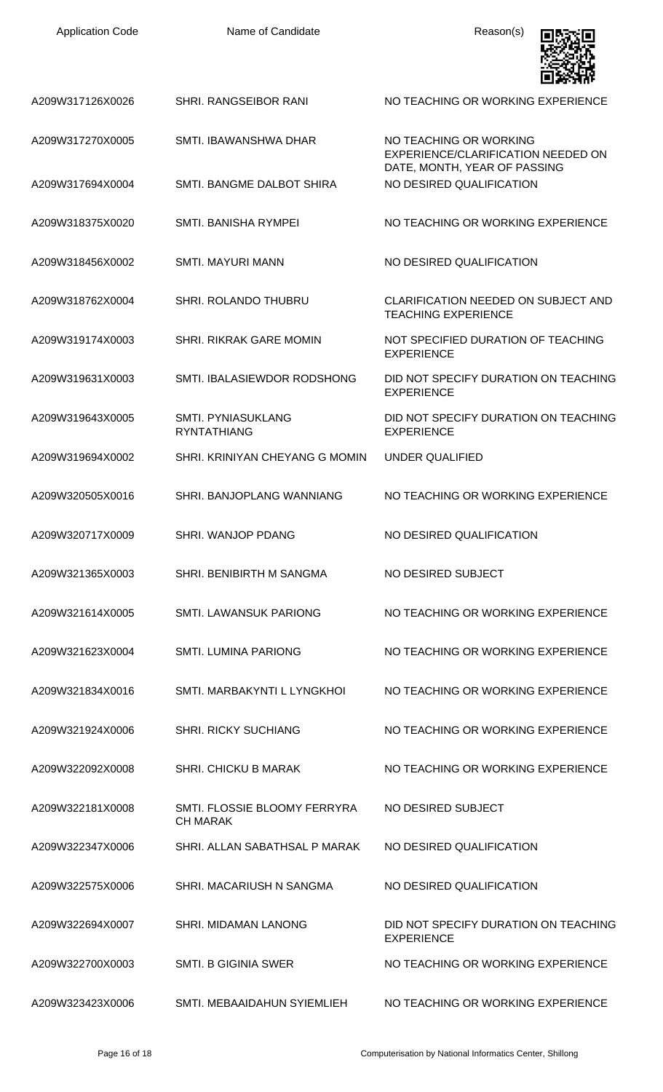| <b>Application Code</b> | Name of Candidate                               | Reason(s)                                                                                    |
|-------------------------|-------------------------------------------------|----------------------------------------------------------------------------------------------|
| A209W317126X0026        | SHRI. RANGSEIBOR RANI                           | NO TEACHING OR WORKING EXPERIENCE                                                            |
| A209W317270X0005        | SMTI. IBAWANSHWA DHAR                           | NO TEACHING OR WORKING<br>EXPERIENCE/CLARIFICATION NEEDED ON<br>DATE, MONTH, YEAR OF PASSING |
| A209W317694X0004        | SMTI. BANGME DALBOT SHIRA                       | NO DESIRED QUALIFICATION                                                                     |
| A209W318375X0020        | SMTI. BANISHA RYMPEI                            | NO TEACHING OR WORKING EXPERIENCE                                                            |
| A209W318456X0002        | <b>SMTI. MAYURI MANN</b>                        | NO DESIRED QUALIFICATION                                                                     |
| A209W318762X0004        | SHRI. ROLANDO THUBRU                            | CLARIFICATION NEEDED ON SUBJECT AND<br><b>TEACHING EXPERIENCE</b>                            |
| A209W319174X0003        | <b>SHRI. RIKRAK GARE MOMIN</b>                  | NOT SPECIFIED DURATION OF TEACHING<br><b>EXPERIENCE</b>                                      |
| A209W319631X0003        | SMTI. IBALASIEWDOR RODSHONG                     | DID NOT SPECIFY DURATION ON TEACHING<br><b>EXPERIENCE</b>                                    |
| A209W319643X0005        | SMTI. PYNIASUKLANG<br><b>RYNTATHIANG</b>        | DID NOT SPECIFY DURATION ON TEACHING<br><b>EXPERIENCE</b>                                    |
| A209W319694X0002        | SHRI, KRINIYAN CHEYANG G MOMIN                  | <b>UNDER QUALIFIED</b>                                                                       |
| A209W320505X0016        | SHRI. BANJOPLANG WANNIANG                       | NO TEACHING OR WORKING EXPERIENCE                                                            |
| A209W320717X0009        | SHRI. WANJOP PDANG                              | NO DESIRED QUALIFICATION                                                                     |
| A209W321365X0003        | SHRI. BENIBIRTH M SANGMA                        | NO DESIRED SUBJECT                                                                           |
| A209W321614X0005        | <b>SMTI. LAWANSUK PARIONG</b>                   | NO TEACHING OR WORKING EXPERIENCE                                                            |
| A209W321623X0004        | <b>SMTI. LUMINA PARIONG</b>                     | NO TEACHING OR WORKING EXPERIENCE                                                            |
| A209W321834X0016        | SMTI. MARBAKYNTI L LYNGKHOI                     | NO TEACHING OR WORKING EXPERIENCE                                                            |
| A209W321924X0006        | <b>SHRI. RICKY SUCHIANG</b>                     | NO TEACHING OR WORKING EXPERIENCE                                                            |
| A209W322092X0008        | <b>SHRI. CHICKU B MARAK</b>                     | NO TEACHING OR WORKING EXPERIENCE                                                            |
| A209W322181X0008        | SMTI. FLOSSIE BLOOMY FERRYRA<br><b>CH MARAK</b> | NO DESIRED SUBJECT                                                                           |
| A209W322347X0006        | SHRI. ALLAN SABATHSAL P MARAK                   | NO DESIRED QUALIFICATION                                                                     |
| A209W322575X0006        | SHRI. MACARIUSH N SANGMA                        | NO DESIRED QUALIFICATION                                                                     |
| A209W322694X0007        | SHRI, MIDAMAN LANONG                            | DID NOT SPECIFY DURATION ON TEACHING<br><b>EXPERIENCE</b>                                    |
| A209W322700X0003        | <b>SMTI. B GIGINIA SWER</b>                     | NO TEACHING OR WORKING EXPERIENCE                                                            |
| A209W323423X0006        | SMTI. MEBAAIDAHUN SYIEMLIEH                     | NO TEACHING OR WORKING EXPERIENCE                                                            |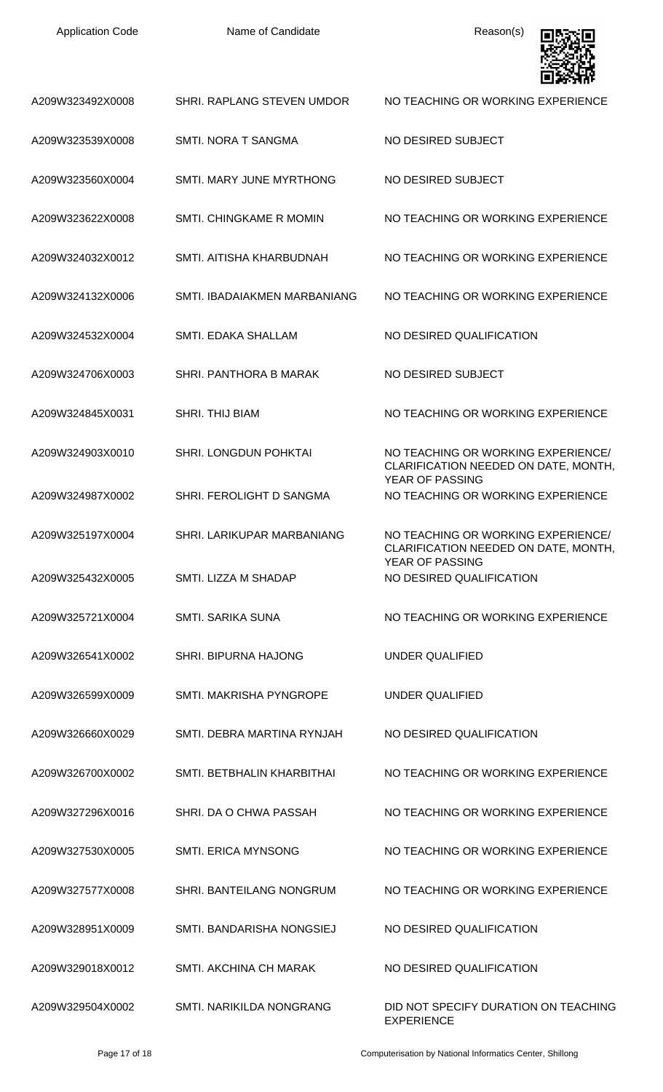Name of Candidate **Reason(s)** 



| A209W323492X0008 | SHRI. RAPLANG STEVEN UMDOR   | NO TEACHING OR WORKING EXPERIENCE                                          |
|------------------|------------------------------|----------------------------------------------------------------------------|
| A209W323539X0008 | SMTI. NORA T SANGMA          | NO DESIRED SUBJECT                                                         |
| A209W323560X0004 | SMTI. MARY JUNE MYRTHONG     | NO DESIRED SUBJECT                                                         |
| A209W323622X0008 | SMTI. CHINGKAME R MOMIN      | NO TEACHING OR WORKING EXPERIENCE                                          |
| A209W324032X0012 | SMTI. AITISHA KHARBUDNAH     | NO TEACHING OR WORKING EXPERIENCE                                          |
| A209W324132X0006 | SMTI. IBADAIAKMEN MARBANIANG | NO TEACHING OR WORKING EXPERIENCE                                          |
| A209W324532X0004 | SMTI. EDAKA SHALLAM          | NO DESIRED QUALIFICATION                                                   |
| A209W324706X0003 | SHRI. PANTHORA B MARAK       | NO DESIRED SUBJECT                                                         |
| A209W324845X0031 | SHRI. THIJ BIAM              | NO TEACHING OR WORKING EXPERIENCE                                          |
| A209W324903X0010 | SHRI. LONGDUN POHKTAI        | NO TEACHING OR WORKING EXPERIENCE/<br>CLARIFICATION NEEDED ON DATE, MONTH, |
| A209W324987X0002 | SHRI. FEROLIGHT D SANGMA     | <b>YEAR OF PASSING</b><br>NO TEACHING OR WORKING EXPERIENCE                |
| A209W325197X0004 | SHRI. LARIKUPAR MARBANIANG   | NO TEACHING OR WORKING EXPERIENCE/<br>CLARIFICATION NEEDED ON DATE, MONTH, |
| A209W325432X0005 | SMTI. LIZZA M SHADAP         | YEAR OF PASSING<br>NO DESIRED QUALIFICATION                                |
| A209W325721X0004 | <b>SMTI, SARIKA SUNA</b>     | NO TEACHING OR WORKING EXPERIENCE                                          |
| A209W326541X0002 | <b>SHRI. BIPURNA HAJONG</b>  | UNDER QUALIFIED                                                            |
| A209W326599X0009 | SMTI. MAKRISHA PYNGROPE      | UNDER QUALIFIED                                                            |
| A209W326660X0029 | SMTI. DEBRA MARTINA RYNJAH   | NO DESIRED QUALIFICATION                                                   |
| A209W326700X0002 | SMTI. BETBHALIN KHARBITHAI   | NO TEACHING OR WORKING EXPERIENCE                                          |
| A209W327296X0016 | SHRI. DA O CHWA PASSAH       | NO TEACHING OR WORKING EXPERIENCE                                          |
| A209W327530X0005 | <b>SMTI. ERICA MYNSONG</b>   | NO TEACHING OR WORKING EXPERIENCE                                          |
| A209W327577X0008 | SHRI. BANTEILANG NONGRUM     | NO TEACHING OR WORKING EXPERIENCE                                          |
| A209W328951X0009 | SMTI. BANDARISHA NONGSIEJ    | NO DESIRED QUALIFICATION                                                   |
| A209W329018X0012 | SMTI. AKCHINA CH MARAK       | NO DESIRED QUALIFICATION                                                   |
| A209W329504X0002 | SMTI. NARIKILDA NONGRANG     | DID NOT SPECIFY DURATION ON TEACHING<br><b>EXPERIENCE</b>                  |